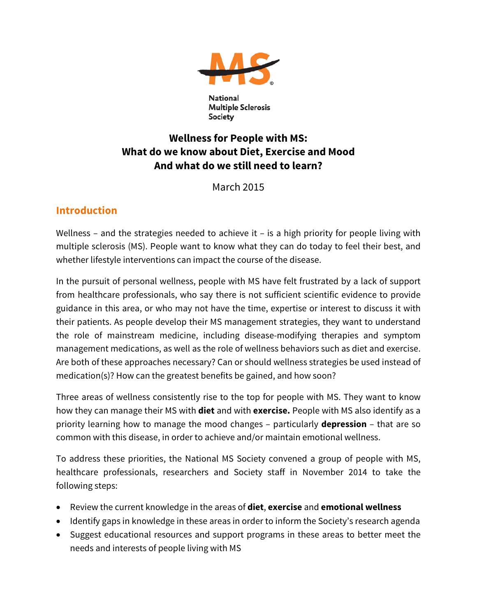

National **Multiple Sclerosis** Society

# **Wellness for People with MS: What do we know about Diet, Exercise and Mood And what do we still need to learn?**

March 2015

# **Introduction**

Wellness – and the strategies needed to achieve it – is a high priority for people living with multiple sclerosis (MS). People want to know what they can do today to feel their best, and whether lifestyle interventions can impact the course of the disease.

In the pursuit of personal wellness, people with MS have felt frustrated by a lack of support from healthcare professionals, who say there is not sufficient scientific evidence to provide guidance in this area, or who may not have the time, expertise or interest to discuss it with their patients. As people develop their MS management strategies, they want to understand the role of mainstream medicine, including disease-modifying therapies and symptom management medications, as well as the role of wellness behaviors such as diet and exercise. Are both of these approaches necessary? Can or should wellness strategies be used instead of medication(s)? How can the greatest benefits be gained, and how soon?

Three areas of wellness consistently rise to the top for people with MS. They want to know how they can manage their MS with **diet** and with **exercise.** People with MS also identify as a priority learning how to manage the mood changes – particularly **depression** – that are so common with this disease, in order to achieve and/or maintain emotional wellness.

To address these priorities, the National MS Society convened a group of people with MS, healthcare professionals, researchers and Society staff in November 2014 to take the following steps:

- Review the current knowledge in the areas of **diet**, **exercise** and **emotional wellness**
- Identify gaps in knowledge in these areas in order to inform the Society's research agenda
- Suggest educational resources and support programs in these areas to better meet the needs and interests of people living with MS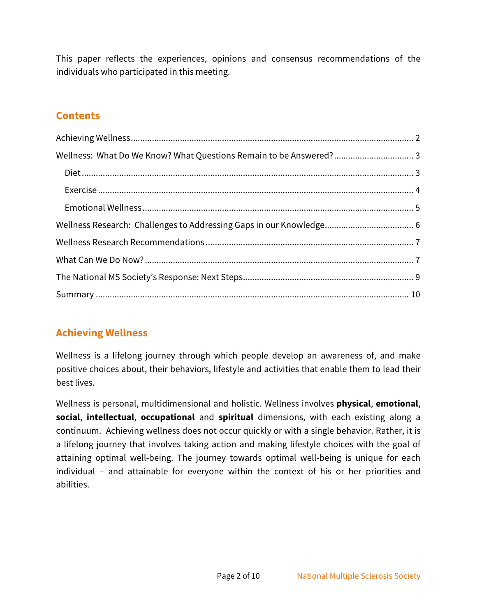This paper reflects the experiences, opinions and consensus recommendations of the individuals who participated in this meeting.

## **Contents**

# <span id="page-1-0"></span>**Achieving Wellness**

Wellness is a lifelong journey through which people develop an awareness of, and make positive choices about, their behaviors, lifestyle and activities that enable them to lead their best lives.

Wellness is personal, multidimensional and holistic. Wellness involves **physical**, **emotional**, **social**, **intellectual**, **occupational** and **spiritual** dimensions, with each existing along a continuum. Achieving wellness does not occur quickly or with a single behavior. Rather, it is a lifelong journey that involves taking action and making lifestyle choices with the goal of attaining optimal well-being. The journey towards optimal well-being is unique for each individual – and attainable for everyone within the context of his or her priorities and abilities.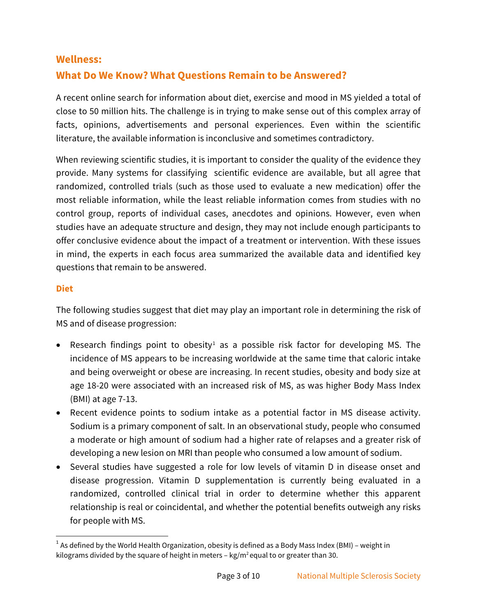#### <span id="page-2-0"></span>**Wellness:**

## **What Do We Know? What Questions Remain to be Answered?**

A recent online search for information about diet, exercise and mood in MS yielded a total of close to 50 million hits. The challenge is in trying to make sense out of this complex array of facts, opinions, advertisements and personal experiences. Even within the scientific literature, the available information is inconclusive and sometimes contradictory.

When reviewing scientific studies, it is important to consider the quality of the evidence they provide. Many systems for classifying scientific evidence are available, but all agree that randomized, controlled trials (such as those used to evaluate a new medication) offer the most reliable information, while the least reliable information comes from studies with no control group, reports of individual cases, anecdotes and opinions. However, even when studies have an adequate structure and design, they may not include enough participants to offer conclusive evidence about the impact of a treatment or intervention. With these issues in mind, the experts in each focus area summarized the available data and identified key questions that remain to be answered.

#### <span id="page-2-1"></span>**Diet**

The following studies suggest that diet may play an important role in determining the risk of MS and of disease progression:

- Research findings point to obesity<sup>[1](#page-2-2)</sup> as a possible risk factor for developing MS. The incidence of MS appears to be increasing worldwide at the same time that caloric intake and being overweight or obese are increasing. In recent studies, obesity and body size at age 18-20 were associated with an increased risk of MS, as was higher Body Mass Index (BMI) at age 7-13.
- Recent evidence points to sodium intake as a potential factor in MS disease activity. Sodium is a primary component of salt. In an observational study, people who consumed a moderate or high amount of sodium had a higher rate of relapses and a greater risk of developing a new lesion on MRI than people who consumed a low amount of sodium.
- Several studies have suggested a role for low levels of vitamin D in disease onset and disease progression. Vitamin D supplementation is currently being evaluated in a randomized, controlled clinical trial in order to determine whether this apparent relationship is real or coincidental, and whether the potential benefits outweigh any risks for people with MS.

<span id="page-2-2"></span> $1$  As defined by the World Health Organization, obesity is defined as a Body Mass Index (BMI) – weight in kilograms divided by the square of height in meters  $-$  kg/m<sup>2</sup> equal to or greater than 30.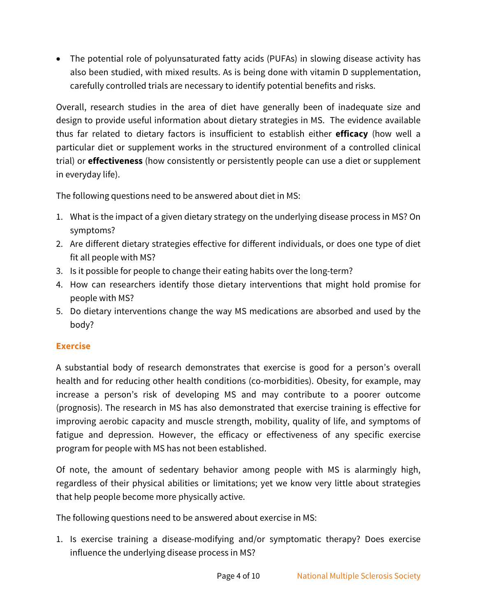• The potential role of polyunsaturated fatty acids (PUFAs) in slowing disease activity has also been studied, with mixed results. As is being done with vitamin D supplementation, carefully controlled trials are necessary to identify potential benefits and risks.

Overall, research studies in the area of diet have generally been of inadequate size and design to provide useful information about dietary strategies in MS. The evidence available thus far related to dietary factors is insufficient to establish either **efficacy** (how well a particular diet or supplement works in the structured environment of a controlled clinical trial) or **effectiveness** (how consistently or persistently people can use a diet or supplement in everyday life).

The following questions need to be answered about diet in MS:

- 1. What is the impact of a given dietary strategy on the underlying disease process in MS? On symptoms?
- 2. Are different dietary strategies effective for different individuals, or does one type of diet fit all people with MS?
- 3. Is it possible for people to change their eating habits over the long-term?
- 4. How can researchers identify those dietary interventions that might hold promise for people with MS?
- 5. Do dietary interventions change the way MS medications are absorbed and used by the body?

### <span id="page-3-0"></span>**Exercise**

A substantial body of research demonstrates that exercise is good for a person's overall health and for reducing other health conditions (co-morbidities). Obesity, for example, may increase a person's risk of developing MS and may contribute to a poorer outcome (prognosis). The research in MS has also demonstrated that exercise training is effective for improving aerobic capacity and muscle strength, mobility, quality of life, and symptoms of fatigue and depression. However, the efficacy or effectiveness of any specific exercise program for people with MS has not been established.

Of note, the amount of sedentary behavior among people with MS is alarmingly high, regardless of their physical abilities or limitations; yet we know very little about strategies that help people become more physically active.

The following questions need to be answered about exercise in MS:

1. Is exercise training a disease-modifying and/or symptomatic therapy? Does exercise influence the underlying disease process in MS?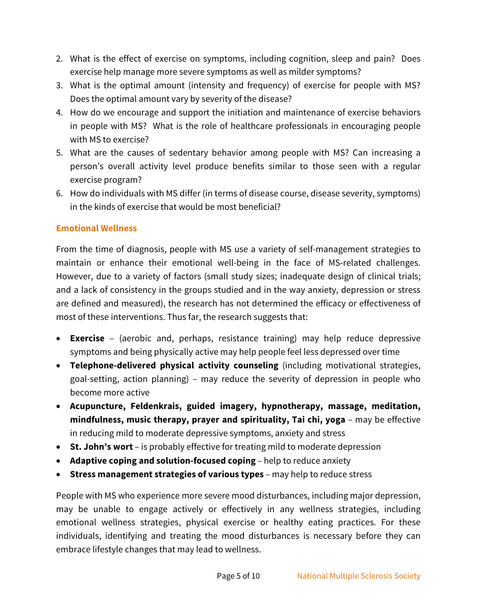- 2. What is the effect of exercise on symptoms, including cognition, sleep and pain? Does exercise help manage more severe symptoms as well as milder symptoms?
- 3. What is the optimal amount (intensity and frequency) of exercise for people with MS? Does the optimal amount vary by severity of the disease?
- 4. How do we encourage and support the initiation and maintenance of exercise behaviors in people with MS? What is the role of healthcare professionals in encouraging people with MS to exercise?
- 5. What are the causes of sedentary behavior among people with MS? Can increasing a person's overall activity level produce benefits similar to those seen with a regular exercise program?
- 6. How do individuals with MS differ (in terms of disease course, disease severity, symptoms) in the kinds of exercise that would be most beneficial?

#### <span id="page-4-0"></span>**Emotional Wellness**

From the time of diagnosis, people with MS use a variety of self-management strategies to maintain or enhance their emotional well-being in the face of MS-related challenges. However, due to a variety of factors (small study sizes; inadequate design of clinical trials; and a lack of consistency in the groups studied and in the way anxiety, depression or stress are defined and measured), the research has not determined the efficacy or effectiveness of most of these interventions. Thus far, the research suggests that:

- **Exercise** (aerobic and, perhaps, resistance training) may help reduce depressive symptoms and being physically active may help people feel less depressed over time
- **Telephone-delivered physical activity counseling** (including motivational strategies, goal-setting, action planning) – may reduce the severity of depression in people who become more active
- **Acupuncture, Feldenkrais, guided imagery, hypnotherapy, massage, meditation, mindfulness, music therapy, prayer and spirituality, Tai chi, yoga** – may be effective in reducing mild to moderate depressive symptoms, anxiety and stress
- **St. John's wort** is probably effective for treating mild to moderate depression
- **Adaptive coping and solution-focused coping** help to reduce anxiety
- **Stress management strategies of various types** may help to reduce stress

People with MS who experience more severe mood disturbances, including major depression, may be unable to engage actively or effectively in any wellness strategies, including emotional wellness strategies, physical exercise or healthy eating practices. For these individuals, identifying and treating the mood disturbances is necessary before they can embrace lifestyle changes that may lead to wellness.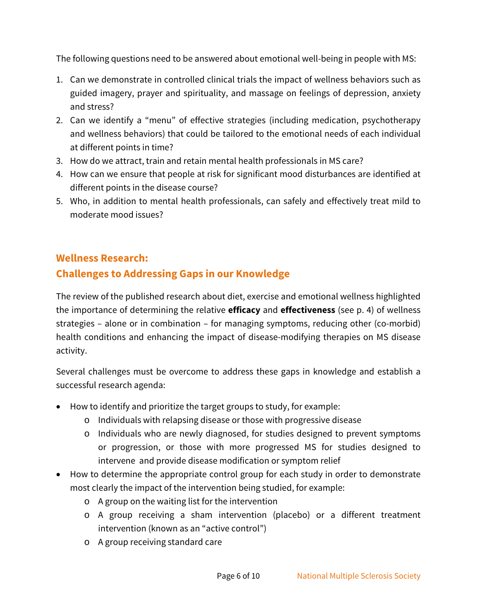The following questions need to be answered about emotional well-being in people with MS:

- 1. Can we demonstrate in controlled clinical trials the impact of wellness behaviors such as guided imagery, prayer and spirituality, and massage on feelings of depression, anxiety and stress?
- 2. Can we identify a "menu" of effective strategies (including medication, psychotherapy and wellness behaviors) that could be tailored to the emotional needs of each individual at different points in time?
- 3. How do we attract, train and retain mental health professionals in MS care?
- 4. How can we ensure that people at risk for significant mood disturbances are identified at different points in the disease course?
- 5. Who, in addition to mental health professionals, can safely and effectively treat mild to moderate mood issues?

## <span id="page-5-0"></span>**Wellness Research:**

# **Challenges to Addressing Gaps in our Knowledge**

The review of the published research about diet, exercise and emotional wellness highlighted the importance of determining the relative **efficacy** and **effectiveness** (see p. 4) of wellness strategies – alone or in combination – for managing symptoms, reducing other (co-morbid) health conditions and enhancing the impact of disease-modifying therapies on MS disease activity.

Several challenges must be overcome to address these gaps in knowledge and establish a successful research agenda:

- How to identify and prioritize the target groups to study, for example:
	- o Individuals with relapsing disease or those with progressive disease
	- o Individuals who are newly diagnosed, for studies designed to prevent symptoms or progression, or those with more progressed MS for studies designed to intervene and provide disease modification or symptom relief
- How to determine the appropriate control group for each study in order to demonstrate most clearly the impact of the intervention being studied, for example:
	- o A group on the waiting list for the intervention
	- o A group receiving a sham intervention (placebo) or a different treatment intervention (known as an "active control")
	- o A group receiving standard care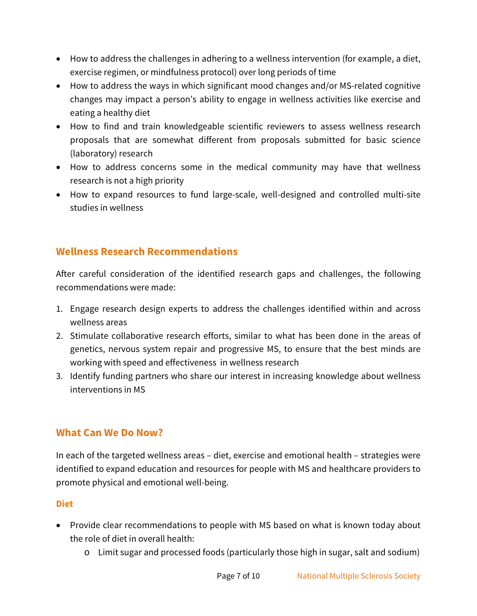- How to address the challenges in adhering to a wellness intervention (for example, a diet, exercise regimen, or mindfulness protocol) over long periods of time
- How to address the ways in which significant mood changes and/or MS-related cognitive changes may impact a person's ability to engage in wellness activities like exercise and eating a healthy diet
- How to find and train knowledgeable scientific reviewers to assess wellness research proposals that are somewhat different from proposals submitted for basic science (laboratory) research
- How to address concerns some in the medical community may have that wellness research is not a high priority
- How to expand resources to fund large-scale, well-designed and controlled multi-site studies in wellness

# <span id="page-6-0"></span>**Wellness Research Recommendations**

After careful consideration of the identified research gaps and challenges, the following recommendations were made:

- 1. Engage research design experts to address the challenges identified within and across wellness areas
- 2. Stimulate collaborative research efforts, similar to what has been done in the areas of genetics, nervous system repair and progressive MS, to ensure that the best minds are working with speed and effectiveness in wellness research
- 3. Identify funding partners who share our interest in increasing knowledge about wellness interventions in MS

### <span id="page-6-1"></span>**What Can We Do Now?**

In each of the targeted wellness areas – diet, exercise and emotional health – strategies were identified to expand education and resources for people with MS and healthcare providers to promote physical and emotional well-being.

#### **Diet**

- Provide clear recommendations to people with MS based on what is known today about the role of diet in overall health:
	- o Limit sugar and processed foods (particularly those high in sugar, salt and sodium)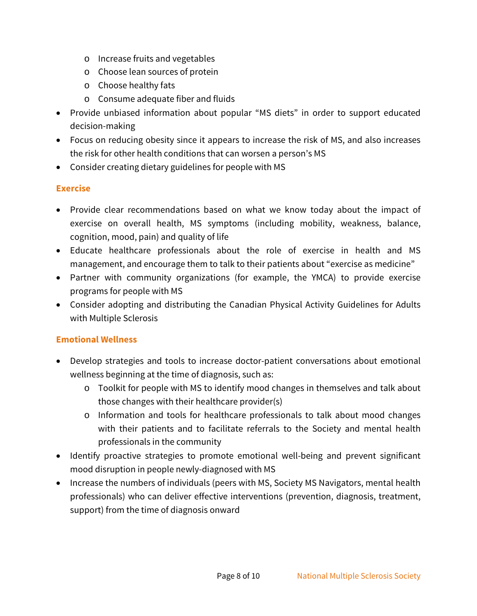- o Increase fruits and vegetables
- o Choose lean sources of protein
- o Choose healthy fats
- o Consume adequate fiber and fluids
- Provide unbiased information about popular "MS diets" in order to support educated decision-making
- Focus on reducing obesity since it appears to increase the risk of MS, and also increases the risk for other health conditions that can worsen a person's MS
- Consider creating dietary guidelines for people with MS

#### **Exercise**

- Provide clear recommendations based on what we know today about the impact of exercise on overall health, MS symptoms (including mobility, weakness, balance, cognition, mood, pain) and quality of life
- Educate healthcare professionals about the role of exercise in health and MS management, and encourage them to talk to their patients about "exercise as medicine"
- Partner with community organizations (for example, the YMCA) to provide exercise programs for people with MS
- Consider adopting and distributing the Canadian Physical Activity Guidelines for Adults with Multiple Sclerosis

#### **Emotional Wellness**

- Develop strategies and tools to increase doctor-patient conversations about emotional wellness beginning at the time of diagnosis, such as:
	- o Toolkit for people with MS to identify mood changes in themselves and talk about those changes with their healthcare provider(s)
	- o Information and tools for healthcare professionals to talk about mood changes with their patients and to facilitate referrals to the Society and mental health professionals in the community
- Identify proactive strategies to promote emotional well-being and prevent significant mood disruption in people newly-diagnosed with MS
- Increase the numbers of individuals (peers with MS, Society MS Navigators, mental health professionals) who can deliver effective interventions (prevention, diagnosis, treatment, support) from the time of diagnosis onward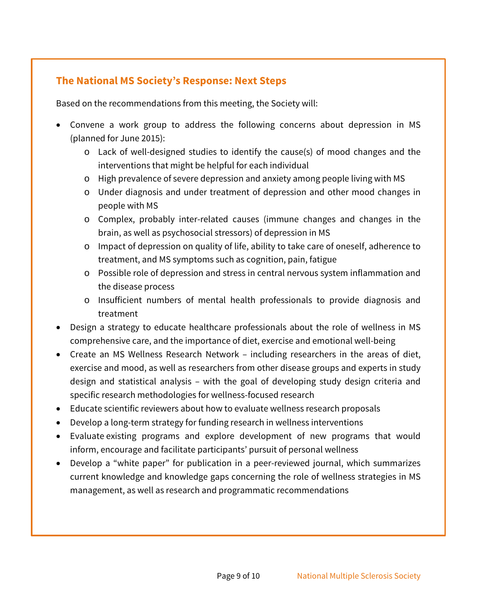# <span id="page-8-0"></span>**The National MS Society's Response: Next Steps**

Based on the recommendations from this meeting, the Society will:

- Convene a work group to address the following concerns about depression in MS (planned for June 2015):
	- o Lack of well-designed studies to identify the cause(s) of mood changes and the interventions that might be helpful for each individual
	- o High prevalence of severe depression and anxiety among people living with MS
	- o Under diagnosis and under treatment of depression and other mood changes in people with MS
	- o Complex, probably inter-related causes (immune changes and changes in the brain, as well as psychosocial stressors) of depression in MS
	- o Impact of depression on quality of life, ability to take care of oneself, adherence to treatment, and MS symptoms such as cognition, pain, fatigue
	- o Possible role of depression and stress in central nervous system inflammation and the disease process
	- o Insufficient numbers of mental health professionals to provide diagnosis and treatment
- Design a strategy to educate healthcare professionals about the role of wellness in MS comprehensive care, and the importance of diet, exercise and emotional well-being
- Create an MS Wellness Research Network including researchers in the areas of diet, exercise and mood, as well as researchers from other disease groups and experts in study design and statistical analysis – with the goal of developing study design criteria and specific research methodologies for wellness-focused research
- Educate scientific reviewers about how to evaluate wellness research proposals
- Develop a long-term strategy for funding research in wellness interventions
- Evaluate existing programs and explore development of new programs that would inform, encourage and facilitate participants' pursuit of personal wellness
- Develop a "white paper" for publication in a peer-reviewed journal, which summarizes current knowledge and knowledge gaps concerning the role of wellness strategies in MS management, as well as research and programmatic recommendations